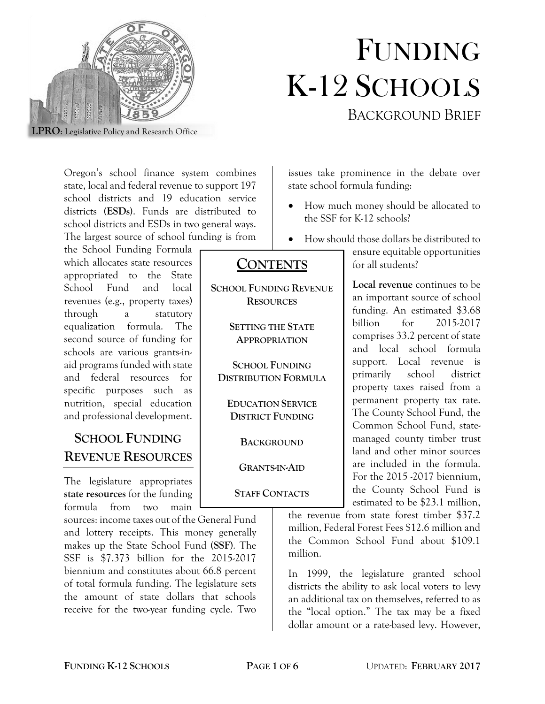

# FUNDING K-12 SCHOOLS BACKGROUND BRIEF

**LPRO**: Legislative Policy and Research Office

Oregon's school finance system combines state, local and federal revenue to support 197 school districts and 19 education service districts **(ESDs)**. Funds are distributed to school districts and ESDs in two general ways. The largest source of school funding is from

the School Funding Formula which allocates state resources appropriated to the State School Fund and local revenues (e.g., property taxes) through a statutory equalization formula. The second source of funding for schools are various grants-inaid programs funded with state and federal resources for specific purposes such as nutrition, special education and professional development.

## **SCHOOL FUNDING REVENUE RESOURCES**

The legislature appropriates **state resources** for the funding formula from two main

sources: income taxes out of the General Fund and lottery receipts. This money generally makes up the State School Fund (**SSF**). The SSF is \$7.373 billion for the 2015-2017 biennium and constitutes about 66.8 percent of total formula funding. The legislature sets the amount of state dollars that schools receive for the two-year funding cycle. Two

issues take prominence in the debate over state school formula funding:

- How much money should be allocated to the SSF for K-12 schools?
- How should those dollars be distributed to

## **CONTENTS**

**SCHOOL FUNDING REVENUE RESOURCES**

> **SETTING THE STATE APPROPRIATION**

**SCHOOL FUNDING DISTRIBUTION FORMULA**

**EDUCATION SERVICE DISTRICT FUNDING**

**BACKGROUND**

**GRANTS-IN-AID**

#### **STAFF CONTACTS**

ensure equitable opportunities for all students?

**Local revenue** continues to be an important source of school funding. An estimated \$3.68 billion for 2015-2017 comprises 33.2 percent of state and local school formula support. Local revenue is primarily school district property taxes raised from a permanent property tax rate. The County School Fund, the Common School Fund, statemanaged county timber trust land and other minor sources are included in the formula. For the 2015 -2017 biennium, the County School Fund is estimated to be \$23.1 million,

the revenue from state forest timber \$37.2 million, Federal Forest Fees \$12.6 million and the Common School Fund about \$109.1 million.

In 1999, the legislature granted school districts the ability to ask local voters to levy an additional tax on themselves, referred to as the "local option." The tax may be a fixed dollar amount or a rate-based levy. However,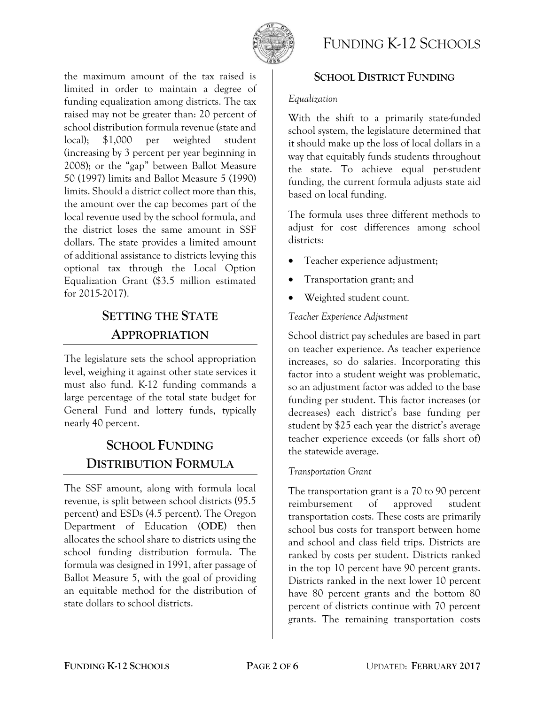

# FUNDING K-12 SCHOOLS

the maximum amount of the tax raised is limited in order to maintain a degree of funding equalization among districts. The tax raised may not be greater than: 20 percent of school distribution formula revenue (state and local); \$1,000 per weighted student (increasing by 3 percent per year beginning in 2008); or the "gap" between Ballot Measure 50 (1997) limits and Ballot Measure 5 (1990) limits. Should a district collect more than this, the amount over the cap becomes part of the local revenue used by the school formula, and the district loses the same amount in SSF dollars. The state provides a limited amount of additional assistance to districts levying this optional tax through the Local Option Equalization Grant (\$3.5 million estimated for 2015-2017).

## **SETTING THE STATE APPROPRIATION**

The legislature sets the school appropriation level, weighing it against other state services it must also fund. K-12 funding commands a large percentage of the total state budget for General Fund and lottery funds, typically nearly 40 percent.

# **SCHOOL FUNDING DISTRIBUTION FORMULA**

The SSF amount, along with formula local revenue, is split between school districts (95.5 percent) and ESDs (4.5 percent). The Oregon Department of Education (**ODE**) then allocates the school share to districts using the school funding distribution formula. The formula was designed in 1991, after passage of Ballot Measure 5, with the goal of providing an equitable method for the distribution of state dollars to school districts.

### **SCHOOL DISTRICT FUNDING**

#### *Equalization*

With the shift to a primarily state-funded school system, the legislature determined that it should make up the loss of local dollars in a way that equitably funds students throughout the state. To achieve equal per-student funding, the current formula adjusts state aid based on local funding.

The formula uses three different methods to adjust for cost differences among school districts:

- Teacher experience adjustment;
- Transportation grant; and
- Weighted student count.

#### *Teacher Experience Adjustment*

School district pay schedules are based in part on teacher experience. As teacher experience increases, so do salaries. Incorporating this factor into a student weight was problematic, so an adjustment factor was added to the base funding per student. This factor increases (or decreases) each district's base funding per student by \$25 each year the district's average teacher experience exceeds (or falls short of) the statewide average.

#### *Transportation Grant*

The transportation grant is a 70 to 90 percent reimbursement of approved student transportation costs. These costs are primarily school bus costs for transport between home and school and class field trips. Districts are ranked by costs per student. Districts ranked in the top 10 percent have 90 percent grants. Districts ranked in the next lower 10 percent have 80 percent grants and the bottom 80 percent of districts continue with 70 percent grants. The remaining transportation costs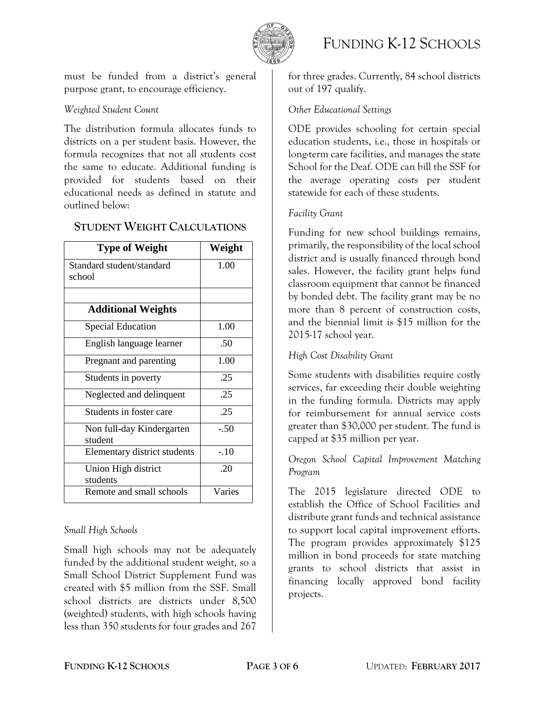

# FUNDING K-12 SCHOOLS

must be funded from a district's general purpose grant, to encourage efficiency.

#### *Weighted Student Count*

The distribution formula allocates funds to districts on a per student basis. However, the formula recognizes that not all students cost the same to educate. Additional funding is provided for students based on their educational needs as defined in statute and outlined below:

| <b>Type of Weight</b>                | Weight |
|--------------------------------------|--------|
| Standard student/standard<br>school  | 1.00   |
|                                      |        |
| <b>Additional Weights</b>            |        |
| <b>Special Education</b>             | 1.00   |
| English language learner             | .50    |
| Pregnant and parenting               | 1.00   |
| Students in poverty                  | .25    |
| Neglected and delinquent             | .25    |
| Students in foster care              | .25    |
| Non full-day Kindergarten<br>student | $-.50$ |
| Elementary district students         | $-.10$ |
| Union High district<br>students      | .20    |
| Remote and small schools             | Varies |

#### **STUDENT WEIGHT CALCULATIONS**

#### *Small High Schools*

Small high schools may not be adequately funded by the additional student weight, so a Small School District Supplement Fund was created with \$5 million from the SSF. Small school districts are districts under 8,500 (weighted) students, with high schools having less than 350 students for four grades and 267

for three grades. Currently, 84 school districts out of 197 qualify.

#### *Other Educational Settings*

ODE provides schooling for certain special education students, i.e., those in hospitals or long-term care facilities, and manages the state School for the Deaf. ODE can bill the SSF for the average operating costs per student statewide for each of these students.

#### *Facility Grant*

Funding for new school buildings remains, primarily, the responsibility of the local school district and is usually financed through bond sales. However, the facility grant helps fund classroom equipment that cannot be financed by bonded debt. The facility grant may be no more than 8 percent of construction costs, and the biennial limit is \$15 million for the 2015-17 school year.

#### *High Cost Disability Grant*

Some students with disabilities require costly services, far exceeding their double weighting in the funding formula. Districts may apply for reimbursement for annual service costs greater than \$30,000 per student. The fund is capped at \$35 million per year.

#### *Oregon School Capital Improvement Matching Program*

The 2015 legislature directed ODE to establish the Office of School Facilities and distribute grant funds and technical assistance to support local capital improvement efforts. The program provides approximately \$125 million in bond proceeds for state matching grants to school districts that assist in financing locally approved bond facility projects.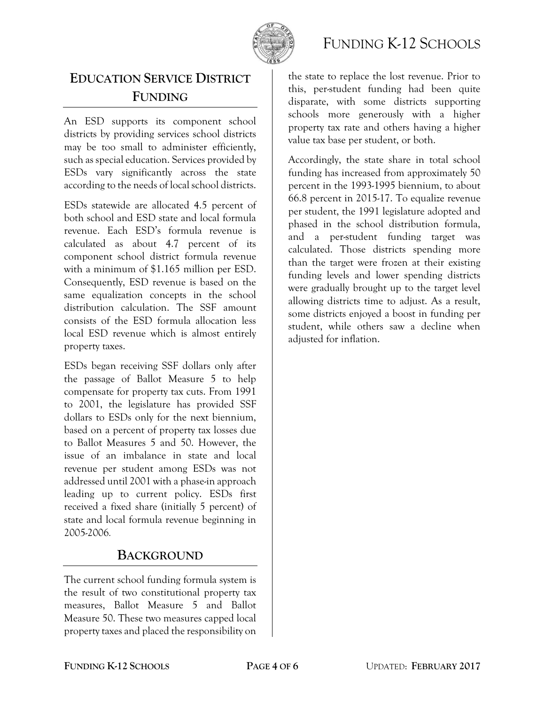

## FUNDING K-12 SCHOOLS

## **EDUCATION SERVICE DISTRICT FUNDING**

An ESD supports its component school districts by providing services school districts may be too small to administer efficiently, such as special education. Services provided by ESDs vary significantly across the state according to the needs of local school districts.

ESDs statewide are allocated 4.5 percent of both school and ESD state and local formula revenue. Each ESD's formula revenue is calculated as about 4.7 percent of its component school district formula revenue with a minimum of \$1.165 million per ESD. Consequently, ESD revenue is based on the same equalization concepts in the school distribution calculation. The SSF amount consists of the ESD formula allocation less local ESD revenue which is almost entirely property taxes.

ESDs began receiving SSF dollars only after the passage of Ballot Measure 5 to help compensate for property tax cuts. From 1991 to 2001, the legislature has provided SSF dollars to ESDs only for the next biennium, based on a percent of property tax losses due to Ballot Measures 5 and 50. However, the issue of an imbalance in state and local revenue per student among ESDs was not addressed until 2001 with a phase-in approach leading up to current policy. ESDs first received a fixed share (initially 5 percent) of state and local formula revenue beginning in 2005-2006*.*

## **BACKGROUND**

The current school funding formula system is the result of two constitutional property tax measures, Ballot Measure 5 and Ballot Measure 50. These two measures capped local property taxes and placed the responsibility on

the state to replace the lost revenue. Prior to this, per-student funding had been quite disparate, with some districts supporting schools more generously with a higher property tax rate and others having a higher value tax base per student, or both.

Accordingly, the state share in total school funding has increased from approximately 50 percent in the 1993-1995 biennium, to about 66.8 percent in 2015-17. To equalize revenue per student, the 1991 legislature adopted and phased in the school distribution formula, and a per-student funding target was calculated. Those districts spending more than the target were frozen at their existing funding levels and lower spending districts were gradually brought up to the target level allowing districts time to adjust. As a result, some districts enjoyed a boost in funding per student, while others saw a decline when adjusted for inflation.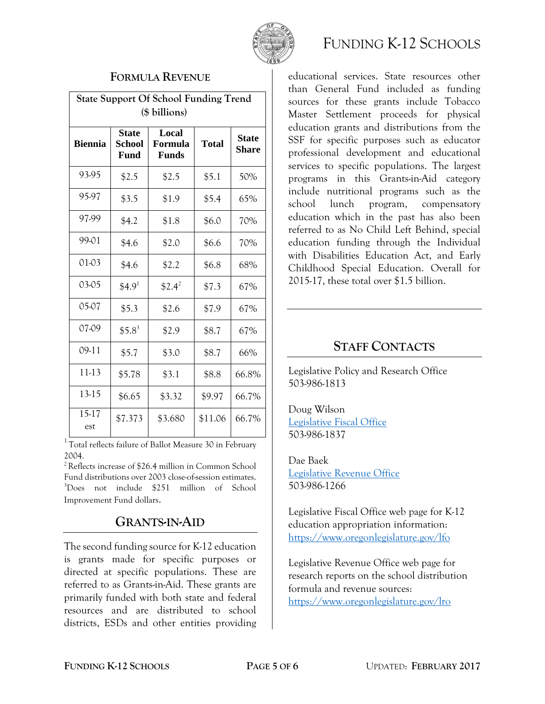

#### **FORMULA REVENUE**

| <b>State Support Of School Funding Trend</b><br>(\$ billions) |                                              |                                  |              |                       |
|---------------------------------------------------------------|----------------------------------------------|----------------------------------|--------------|-----------------------|
| <b>Biennia</b>                                                | <b>State</b><br><b>School</b><br><b>Fund</b> | Local<br>Formula<br><b>Funds</b> | <b>Total</b> | <b>State</b><br>Share |
| 93-95                                                         | \$2.5                                        | \$2.5                            | \$5.1        | 50%                   |
| 95-97                                                         | \$3.5                                        | \$1.9                            | \$5.4        | 65%                   |
| 97.99                                                         | \$4.2                                        | \$1.8                            | \$6.0        | 70%                   |
| 99.01                                                         | \$4.6                                        | \$2.0                            | \$6.6        | 70%                   |
| 01-03                                                         | \$4.6                                        | \$2.2                            | \$6.8        | 68%                   |
| 03-05                                                         | \$4.9 <sup>1</sup>                           | $$2.4^2$                         | \$7.3        | 67%                   |
| 05-07                                                         | \$5.3                                        | \$2.6                            | \$7.9        | 67%                   |
| 07-09                                                         | $$5.8^3$                                     | \$2.9                            | \$8.7        | 67%                   |
| 09-11                                                         | \$5.7                                        | \$3.0                            | \$8.7        | 66%                   |
| 11-13                                                         | \$5.78                                       | \$3.1                            | \$8.8        | 66.8%                 |
| 13-15                                                         | \$6.65                                       | \$3.32                           | \$9.97       | 66.7%                 |
| 15-17<br>est                                                  | \$7.373                                      | \$3.680                          | \$11.06      | 66.7%                 |

<sup>1</sup> Total reflects failure of Ballot Measure 30 in February 2004.

<sup>2</sup>Reflects increase of \$26.4 million in Common School Fund distributions over 2003 close-of-session estimates. <sup>3</sup>Does not include \$251 million of School Improvement Fund dollars.

## **GRANTS-IN-AID**

The second funding source for K-12 education is grants made for specific purposes or directed at specific populations. These are referred to as Grants-in-Aid. These grants are primarily funded with both state and federal resources and are distributed to school districts, ESDs and other entities providing



educational services. State resources other than General Fund included as funding sources for these grants include Tobacco Master Settlement proceeds for physical education grants and distributions from the SSF for specific purposes such as educator professional development and educational services to specific populations. The largest programs in this Grants-in-Aid category include nutritional programs such as the school lunch program, compensatory education which in the past has also been referred to as No Child Left Behind, special education funding through the Individual with Disabilities Education Act, and Early Childhood Special Education. Overall for 2015-17, these total over \$1.5 billion.

## **STAFF CONTACTS**

Legislative Policy and Research Office 503-986-1813

Doug Wilson [Legislative Fiscal Office](https://www.oregonlegislature.gov/lfo) 503-986-1837

Dae Baek [Legislative Revenue Office](https://www.oregonlegislature.gov/lro) 503-986-1266

Legislative Fiscal Office web page for K-12 education appropriation information: <https://www.oregonlegislature.gov/lfo>

Legislative Revenue Office web page for research reports on the school distribution formula and revenue sources: <https://www.oregonlegislature.gov/lro>